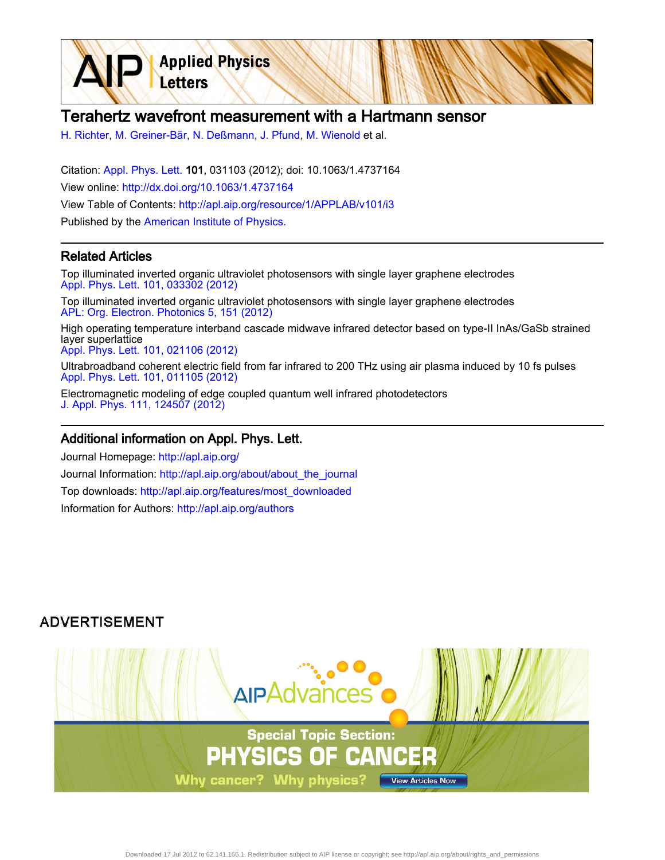Terahertz wavefront measurement with a Hartmann sensor

[H. Richter](http://apl.aip.org/search?sortby=newestdate&q=&searchzone=2&searchtype=searchin&faceted=faceted&key=AIP_ALL&possible1=H. Richter&possible1zone=author&alias=&displayid=AIP&ver=pdfcov), [M. Greiner-Bär](http://apl.aip.org/search?sortby=newestdate&q=&searchzone=2&searchtype=searchin&faceted=faceted&key=AIP_ALL&possible1=M. Greiner-B�r&possible1zone=author&alias=&displayid=AIP&ver=pdfcov), [N. Deßmann](http://apl.aip.org/search?sortby=newestdate&q=&searchzone=2&searchtype=searchin&faceted=faceted&key=AIP_ALL&possible1=N. De�mann&possible1zone=author&alias=&displayid=AIP&ver=pdfcov), [J. Pfund](http://apl.aip.org/search?sortby=newestdate&q=&searchzone=2&searchtype=searchin&faceted=faceted&key=AIP_ALL&possible1=J. Pfund&possible1zone=author&alias=&displayid=AIP&ver=pdfcov), [M. Wienold](http://apl.aip.org/search?sortby=newestdate&q=&searchzone=2&searchtype=searchin&faceted=faceted&key=AIP_ALL&possible1=M. Wienold&possible1zone=author&alias=&displayid=AIP&ver=pdfcov) et al.

**Applied Physics** 

Letters

Citation: [Appl. Phys. Lett. 1](http://apl.aip.org/?ver=pdfcov)01, 031103 (2012); doi: 10.1063/1.4737164 View online: [http://dx.doi.org/10.1063/1.4737164](http://link.aip.org/link/doi/10.1063/1.4737164?ver=pdfcov) View Table of Contents: [http://apl.aip.org/resource/1/APPLAB/v101/i3](http://apl.aip.org/resource/1/APPLAB/v101/i3?ver=pdfcov) Published by the [American Institute of Physics.](http://www.aip.org/?ver=pdfcov)

## Related Articles

Top illuminated inverted organic ultraviolet photosensors with single layer graphene electrodes [Appl. Phys. Lett. 101, 033302 \(2012\)](http://link.aip.org/link/doi/10.1063/1.4733299?ver=pdfcov)

Top illuminated inverted organic ultraviolet photosensors with single layer graphene electrodes [APL: Org. Electron. Photonics 5, 151 \(2012\)](http://link.aip.org/link/doi/10.1063/1.4733299?ver=pdfcov)

High operating temperature interband cascade midwave infrared detector based on type-II InAs/GaSb strained layer superlattice

[Appl. Phys. Lett. 101, 021106 \(2012\)](http://link.aip.org/link/doi/10.1063/1.4733660?ver=pdfcov)

Ultrabroadband coherent electric field from far infrared to 200 THz using air plasma induced by 10 fs pulses [Appl. Phys. Lett. 101, 011105 \(2012\)](http://link.aip.org/link/doi/10.1063/1.4732524?ver=pdfcov)

Electromagnetic modeling of edge coupled quantum well infrared photodetectors [J. Appl. Phys. 111, 124507 \(2012\)](http://link.aip.org/link/doi/10.1063/1.4729810?ver=pdfcov)

## Additional information on Appl. Phys. Lett.

Journal Homepage: [http://apl.aip.org/](http://apl.aip.org/?ver=pdfcov) Journal Information: [http://apl.aip.org/about/about\\_the\\_journal](http://apl.aip.org/about/about_the_journal?ver=pdfcov) Top downloads: [http://apl.aip.org/features/most\\_downloaded](http://apl.aip.org/features/most_downloaded?ver=pdfcov) Information for Authors: [http://apl.aip.org/authors](http://apl.aip.org/authors?ver=pdfcov)

## **ADVERTISEMENT**

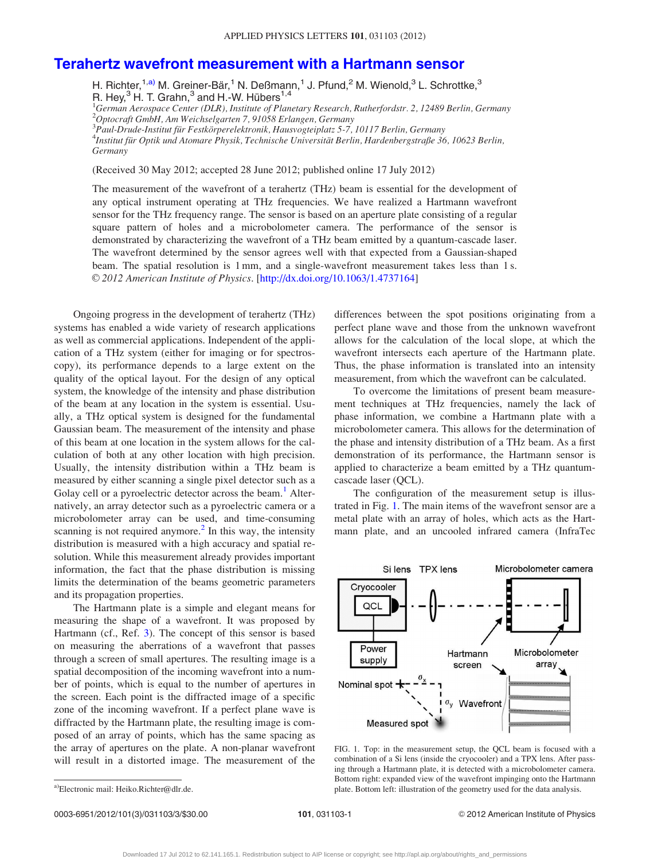## <span id="page-1-0"></span>[Terahertz wavefront measurement with a Hartmann sensor](http://dx.doi.org/10.1063/1.4737164)

H. Richter,<sup>1,a)</sup> M. Greiner-Bär,<sup>1</sup> N. Deßmann,<sup>1</sup> J. Pfund,<sup>2</sup> M. Wienold,<sup>3</sup> L. Schrottke,<sup>3</sup> R. Hey, $^3$  H. T. Grahn, $^3$  and H.-W. Hübers<sup>1,4</sup>

<sup>1</sup>German Aerospace Center (DLR), Institute of Planetary Research, Rutherfordstr. 2, 12489 Berlin, Germany 2 Optocraft GmbH, Am Weichselgarten 7, 91058 Erlangen, Germany

<sup>3</sup> Paul-Drude-Institut für Festkörperelektronik, Hausvogteiplatz 5-7, 10117 Berlin, Germany<br><sup>4</sup>Institut für Optik und Atomare Physik, Technische Universität Berlin, Hardenbergstraße 36 <sup>4</sup>Institut für Optik und Atomare Physik, Technische Universität Berlin, Hardenbergstraße 36, 10623 Berlin, Germany

(Received 30 May 2012; accepted 28 June 2012; published online 17 July 2012)

The measurement of the wavefront of a terahertz (THz) beam is essential for the development of any optical instrument operating at THz frequencies. We have realized a Hartmann wavefront sensor for the THz frequency range. The sensor is based on an aperture plate consisting of a regular square pattern of holes and a microbolometer camera. The performance of the sensor is demonstrated by characterizing the wavefront of a THz beam emitted by a quantum-cascade laser. The wavefront determined by the sensor agrees well with that expected from a Gaussian-shaped beam. The spatial resolution is 1 mm, and a single-wavefront measurement takes less than 1 s. V<sup>C</sup> 2012 American Institute of Physics. [[http://dx.doi.org/10.1063/1.4737164\]](http://dx.doi.org/10.1063/1.4737164)

Ongoing progress in the development of terahertz (THz) systems has enabled a wide variety of research applications as well as commercial applications. Independent of the application of a THz system (either for imaging or for spectroscopy), its performance depends to a large extent on the quality of the optical layout. For the design of any optical system, the knowledge of the intensity and phase distribution of the beam at any location in the system is essential. Usually, a THz optical system is designed for the fundamental Gaussian beam. The measurement of the intensity and phase of this beam at one location in the system allows for the calculation of both at any other location with high precision. Usually, the intensity distribution within a THz beam is measured by either scanning a single pixel detector such as a Golay cell or a pyroelectric detector across the beam.<sup>[1](#page-3-0)</sup> Alternatively, an array detector such as a pyroelectric camera or a microbolometer array can be used, and time-consuming scanning is not required anymore.<sup>[2](#page-3-0)</sup> In this way, the intensity distribution is measured with a high accuracy and spatial resolution. While this measurement already provides important information, the fact that the phase distribution is missing limits the determination of the beams geometric parameters and its propagation properties.

The Hartmann plate is a simple and elegant means for measuring the shape of a wavefront. It was proposed by Hartmann (cf., Ref. [3](#page-3-0)). The concept of this sensor is based on measuring the aberrations of a wavefront that passes through a screen of small apertures. The resulting image is a spatial decomposition of the incoming wavefront into a number of points, which is equal to the number of apertures in the screen. Each point is the diffracted image of a specific zone of the incoming wavefront. If a perfect plane wave is diffracted by the Hartmann plate, the resulting image is composed of an array of points, which has the same spacing as the array of apertures on the plate. A non-planar wavefront will result in a distorted image. The measurement of the differences between the spot positions originating from a perfect plane wave and those from the unknown wavefront allows for the calculation of the local slope, at which the wavefront intersects each aperture of the Hartmann plate. Thus, the phase information is translated into an intensity measurement, from which the wavefront can be calculated.

To overcome the limitations of present beam measurement techniques at THz frequencies, namely the lack of phase information, we combine a Hartmann plate with a microbolometer camera. This allows for the determination of the phase and intensity distribution of a THz beam. As a first demonstration of its performance, the Hartmann sensor is applied to characterize a beam emitted by a THz quantumcascade laser (QCL).

The configuration of the measurement setup is illustrated in Fig. 1. The main items of the wavefront sensor are a metal plate with an array of holes, which acts as the Hartmann plate, and an uncooled infrared camera (InfraTec



FIG. 1. Top: in the measurement setup, the QCL beam is focused with a combination of a Si lens (inside the cryocooler) and a TPX lens. After passing through a Hartmann plate, it is detected with a microbolometer camera. Bottom right: expanded view of the wavefront impinging onto the Hartmann a)Electronic mail: Heiko.Richter@dlr.de. **a)** example the plate. Bottom left: illustration of the geometry used for the data analysis.

0003-6951/2012/101(3)/031103/3/\$30.00 101, 031103-1 © 2012 American Institute of Physics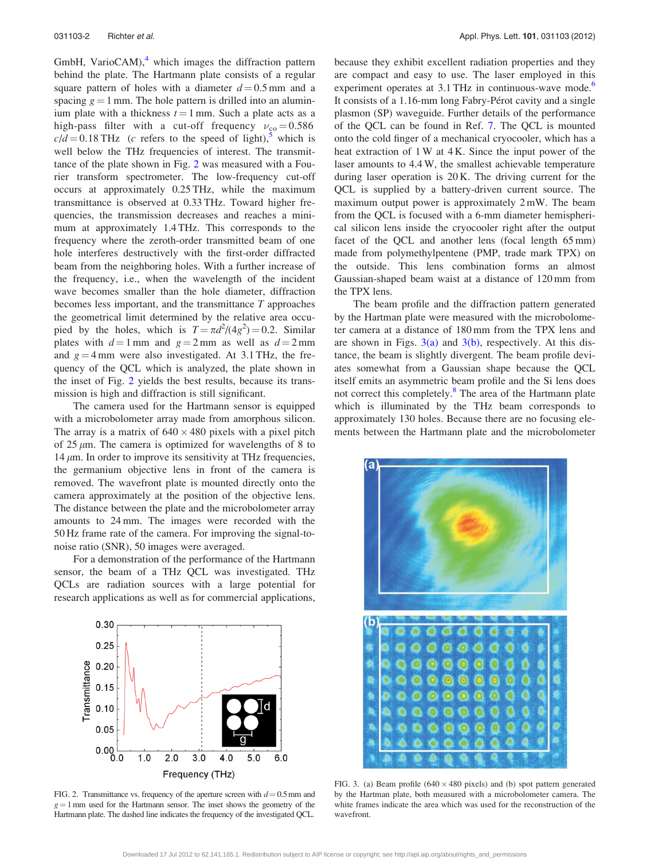<span id="page-2-0"></span>GmbH, VarioCAM), $4$  which images the diffraction pattern behind the plate. The Hartmann plate consists of a regular square pattern of holes with a diameter  $d = 0.5$  mm and a spacing  $g = 1$  mm. The hole pattern is drilled into an aluminium plate with a thickness  $t = 1$  mm. Such a plate acts as a high-pass filter with a cut-off frequency  $v_{\rm co} = 0.586$  $c/d = 0.18$  THz (c refers to the speed of light),<sup>3</sup> which is well below the THz frequencies of interest. The transmittance of the plate shown in Fig. 2 was measured with a Fourier transform spectrometer. The low-frequency cut-off occurs at approximately 0.25 THz, while the maximum transmittance is observed at 0.33 THz. Toward higher frequencies, the transmission decreases and reaches a minimum at approximately 1.4 THz. This corresponds to the frequency where the zeroth-order transmitted beam of one hole interferes destructively with the first-order diffracted beam from the neighboring holes. With a further increase of the frequency, i.e., when the wavelength of the incident wave becomes smaller than the hole diameter, diffraction becomes less important, and the transmittance T approaches the geometrical limit determined by the relative area occupied by the holes, which is  $T = \pi d^2/(4g^2) = 0.2$ . Similar plates with  $d = 1$  mm and  $g = 2$  mm as well as  $d = 2$  mm and  $g = 4$  mm were also investigated. At 3.1 THz, the frequency of the QCL which is analyzed, the plate shown in the inset of Fig. 2 yields the best results, because its transmission is high and diffraction is still significant.

The camera used for the Hartmann sensor is equipped with a microbolometer array made from amorphous silicon. The array is a matrix of  $640 \times 480$  pixels with a pixel pitch of  $25 \mu m$ . The camera is optimized for wavelengths of 8 to 14  $\mu$ m. In order to improve its sensitivity at THz frequencies, the germanium objective lens in front of the camera is removed. The wavefront plate is mounted directly onto the camera approximately at the position of the objective lens. The distance between the plate and the microbolometer array amounts to 24 mm. The images were recorded with the 50 Hz frame rate of the camera. For improving the signal-tonoise ratio (SNR), 50 images were averaged.

For a demonstration of the performance of the Hartmann sensor, the beam of a THz QCL was investigated. THz QCLs are radiation sources with a large potential for research applications as well as for commercial applications,



FIG. 2. Transmittance vs. frequency of the aperture screen with  $d = 0.5$  mm and  $g = 1$  mm used for the Hartmann sensor. The inset shows the geometry of the Hartmann plate. The dashed line indicates the frequency of the investigated QCL.

because they exhibit excellent radiation properties and they are compact and easy to use. The laser employed in this experiment operates at 3.1 THz in continuous-wave mode.<sup>6</sup> It consists of a 1.16-mm long Fabry-Pérot cavity and a single plasmon (SP) waveguide. Further details of the performance of the QCL can be found in Ref. [7.](#page-3-0) The QCL is mounted onto the cold finger of a mechanical cryocooler, which has a heat extraction of 1 W at 4 K. Since the input power of the laser amounts to 4.4 W, the smallest achievable temperature during laser operation is 20 K. The driving current for the QCL is supplied by a battery-driven current source. The maximum output power is approximately 2 mW. The beam from the QCL is focused with a 6-mm diameter hemispherical silicon lens inside the cryocooler right after the output facet of the QCL and another lens (focal length 65 mm) made from polymethylpentene (PMP, trade mark TPX) on the outside. This lens combination forms an almost Gaussian-shaped beam waist at a distance of 120 mm from the TPX lens.

The beam profile and the diffraction pattern generated by the Hartman plate were measured with the microbolometer camera at a distance of 180 mm from the TPX lens and are shown in Figs.  $3(a)$  and  $3(b)$ , respectively. At this distance, the beam is slightly divergent. The beam profile deviates somewhat from a Gaussian shape because the QCL itself emits an asymmetric beam profile and the Si lens does not correct this completely.<sup>8</sup> The area of the Hartmann plate which is illuminated by the THz beam corresponds to approximately 130 holes. Because there are no focusing elements between the Hartmann plate and the microbolometer



FIG. 3. (a) Beam profile  $(640 \times 480)$  pixels) and (b) spot pattern generated by the Hartman plate, both measured with a microbolometer camera. The white frames indicate the area which was used for the reconstruction of the wavefront.